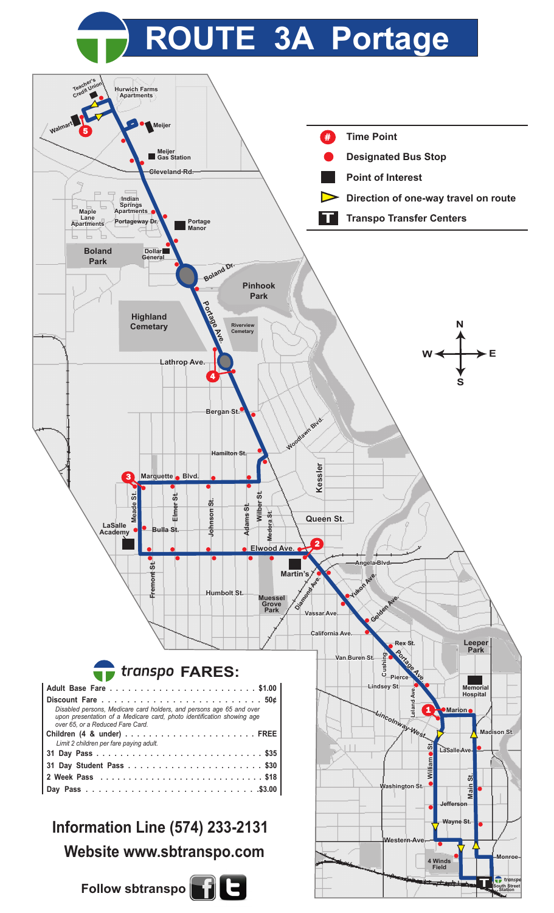## **ROUTE 3A Portage**